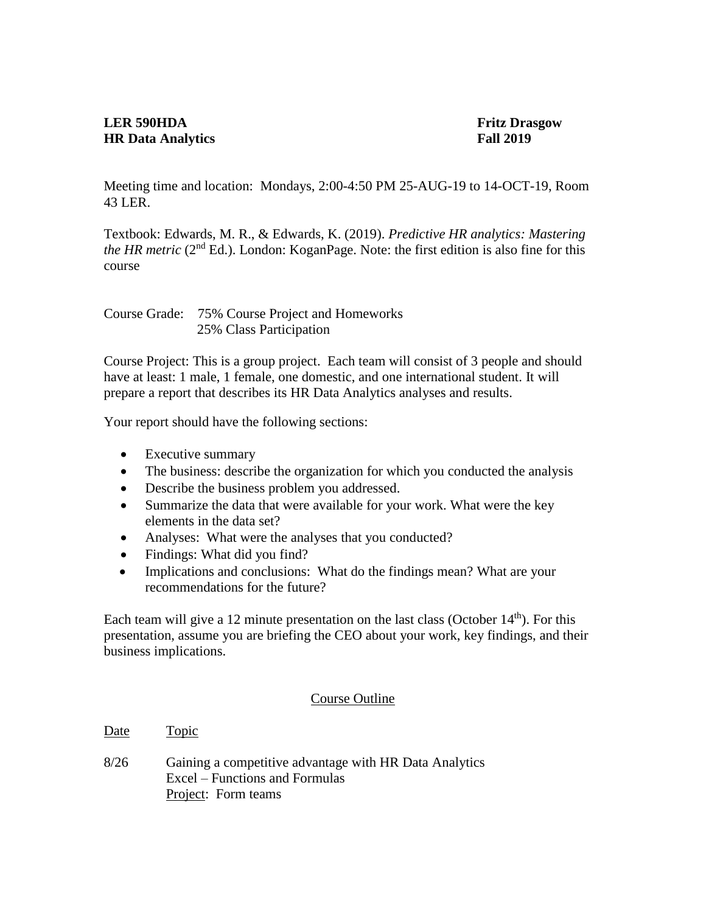## **LER 590HDA Fritz Drasgow HR Data Analytics** Fall 2019

Meeting time and location: Mondays, 2:00-4:50 PM 25-AUG-19 to 14-OCT-19, Room 43 LER.

Textbook: Edwards, M. R., & Edwards, K. (2019). *Predictive HR analytics: Mastering the HR metric* ( $2<sup>nd</sup> Ed$ .). London: KoganPage. Note: the first edition is also fine for this course

Course Grade: 75% Course Project and Homeworks 25% Class Participation

Course Project: This is a group project. Each team will consist of 3 people and should have at least: 1 male, 1 female, one domestic, and one international student. It will prepare a report that describes its HR Data Analytics analyses and results.

Your report should have the following sections:

- Executive summary
- The business: describe the organization for which you conducted the analysis
- Describe the business problem you addressed.
- Summarize the data that were available for your work. What were the key elements in the data set?
- Analyses: What were the analyses that you conducted?
- Findings: What did you find?
- Implications and conclusions: What do the findings mean? What are your recommendations for the future?

Each team will give a 12 minute presentation on the last class (October  $14<sup>th</sup>$ ). For this presentation, assume you are briefing the CEO about your work, key findings, and their business implications.

## Course Outline

Date Topic

8/26 Gaining a competitive advantage with HR Data Analytics Excel – Functions and Formulas Project: Form teams